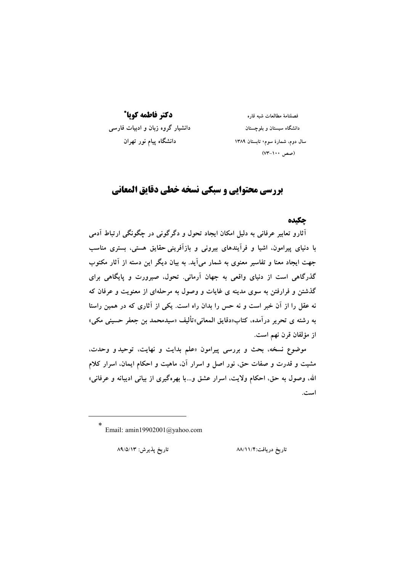دكتر فاطمه كويا\* دانشیار گروه زبان و ادبیات فارسی دانشگاه پیام نور تهران

فصلنامهٔ مطالعات شبه قاره دانشگاه سیستان و بلوچستان سال دوم، شمارهٔ سوم، تابستان ۱۳۸۹  $(V^*-\setminus\cdots)$ صص

# بررسي محتوايي و سبكي نسخه خطي دقايق المعاني

### حكىده

آثارو تعابیر عرفانی به دلیل امکان ایجاد تحول و دگرگونی در چگونگی ارتباط آدمی با دنیای پیرامون، اشیا و فرآیندهای بیرونی و بازآفرینی حقایق هستی، بستری مناسب جهت ایجاد معنا و تفاسیر معنوی به شمار می آید. به بیان دیگر این دسته از آثار مکتوب گذرگاهی است از دنیای واقعی به جهان آرمانی. تحول، صیرورت و پایگاهی برای گذشتن و فرارفتن به سوی مدینه ی غایات و وصول به مرحلهای از معنویت و عرفان که نه عقل را از آن خبر است و نه حس را بدان راه است. یکی از آثاری که در همین راستا به رشته ي تحرير درآمده، كتاب«دقايق المعاني»تأليف «سيدمحمد بن جعفر حسيني مكي» از مؤلفان قرن نهم است.

موضوع نسخه، بحث و بررسی پیرامون «علم بدایت و نهایت، توحید و وحدت، مشیت و قدرت و صفات حق، نور اصل و اسرار آن، ماهیت و احکام ایمان، اسرار کلام الله، وصول به حق، احکام ولايت، اسرار عشق و…با بهرهگيري از بياني اديبانه و عرفاني» است.

تاريخ يذيرش: ٨٩/٥/١٣

تاریخ دریافت:۸۸/۱۱/۴

 $*$  Email: amin19902001@yahoo.com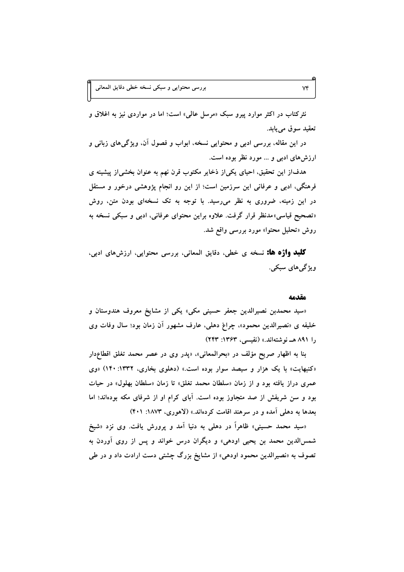نثرکتاب در اکثر موارد پیرو سبک «مرسل عالی» است؛ اما در مواردی نیز به اغلاق و تعقيد سوق ميµبد.

در این مقاله، بررسی ادبی و محتوایی نسخه، ابواب و فصول آن، ویژگیهای زبانی و ارزشهای ادبی و ... مورد نظر بوده است.

هدفاز این تحقیق، احیای یکی|ز ذخایر مکتوب قرن نهم به عنوان بخشی|ز پیشینه ی فرهنگی، ادبی و عرفانی این سرزمین است؛ از این رو انجام پژوهشی درخور و مستقل در این زمینه، ضروری به نظر می رسید. با توجه به تک نسخهای بودن متن، روش «تصحیح قیاسی»مدنظر قرار گرفت. علاوه براین محتوای عرفانی، ادبی و سبکی نسخه به روش «تحليل محتوا» مورد بررسي واقع شد.

**کلید واژه ها:** نسخه ی خطی، دقایق المعانی، بررسی محتوایی، ارزشهای ادبی، ويژگى هاى سېكى.

#### مقدمه

«سید محمدبن نصیرالدین جعفر حسینی مکی» یکی از مشایخ معروف هندوستان و خلیفه ی «نصیرالدین محمود»، چراغ دهلی، عارف مشهور آن زمان بود؛ سال وفات وی را ۸۹۱ هـ نوشتهاند.» (نفيسي، ۱۳۶۳: ۲۴۳)

بنا به اظهار صریح مؤلف در «بحرالمعانی». «پدر وی در عصر محمد تغلق اقطاعدار «کنبهایت» با یک هزار و سیصد سوار بوده است.» (دهلوی بخاری، ۱۳۳۲: ۱۴۰) «وی عمری دراز یافته بود و از زمان «سلطان محمد تغلق» تا زمان «سلطان بهلول» در حیات بود و سن شریفش از صد متجاوز بوده است. آبای کرام او از شرفای مکه بودهاند؛ اما بعدها به دهلی آمده و در سرهند اقامت کردهاند.» (لاهوری، ۱۸۷۳: ۴۰۱)

«سید محمد حسینی» ظاهراً در دهلی به دنیا آمد و پرورش یافت. وی نزد «شیخ شمسالدین محمد بن یحیی اودهی» و دیگران درس خواند و پس از روی آوردن به تصوف به «نصیرالدین محمود اودهی» از مشایخ بزرگ چشتی دست ارادت داد و در طی

 $V^{\epsilon}$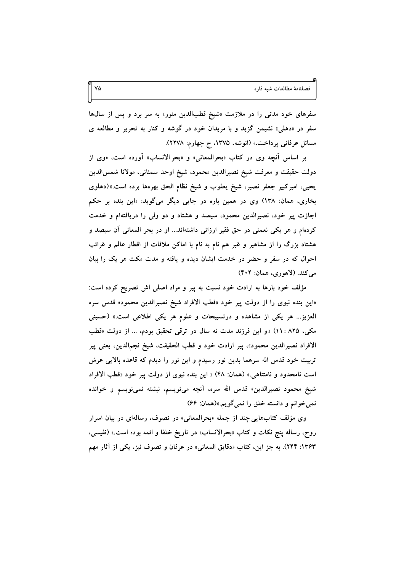فصلنامهٔ مطالعات شبه قاره

سفرهای خود مدتی را در ملازمت «شیخ قطبالدین منور» به سر برد و پس از سالها سفر در «دهلی» نشیمن گزید و با مریدان خود در گوشه و کنار به تحریر و مطالعه ی مسائل عرفانی پرداخت.» (انوشه، ۱۳۷۵، ج چهارم: ۲۲۷۸).

بر اساس آنچه وی در کتاب «بحرالمعانی» و «بحرالانساب» آورده است، «وی از دولت حقیقت و معرفت شیخ نصیرالدین محمود، شیخ اوحد سمنانی، مولانا شمسlلدین یحیی، امیرکبیر جعفر نصیر، شیخ یعقوب و شیخ نظام الحق بهرهها برده است.»(دهلوی بخاری، همان: ۱۳۸) وی در همین باره در جایی دیگر میگوید: «این بنده بر حکم اجازت پیر خود، نصیرالدین محمود، سیصد و هشتاد و دو ولی را دریافتهام و خدمت کردهام و هر یکی نعمتی در حق فقیر ارزانی داشتهاند... او در بحر المعانی آن سیصد و هشتاد بزرگ را از مشاهیر و غیر هم نام به نام با اماکن ملاقات از اقطار عالم و غرائب احوال که در سفر و حضر در خدمت ایشان دیده و یافته و مدت مکث هر یک را بیان مي كند. (لاهوري، همان: ۴۰۴)

مؤلف خود بارها به ارادت خود نسبت به پیر و مراد اصلی اش تصریح کرده است: «این بنده نبوی را از دولت پیر خود «قطب الافراد شیخ نصیرالدین محمود» قدس سره العزیز... هر یکی از مشاهده و درتسبیحات و علوم هر یکی اطلاعی است.» (حسینی مکي، ١١: ١٨) «و اين فرزند مدت نه سال در ترقي تحقيق بودم، ... از دولت «قطب الافراد نصيرالدين محمود»، پير ارادت خود و قطب الحقيقت، شيخ نجمالدين، يعني پير تربیت خود قدس الله سرهما بدین نور رسیدم و این نور را دیدم که قاعده بالایی عرش است نامحدود و نامتناهی.» (همان: ۴۸) « این بنده نبوی از دولت پیر خود «قطب الافراد شيخ محمود نصيرالدين» قدس الله سره، أنچه ميiويسم، نبشته نميiويسم و خوانده نمي خوانم و دانسته خلق را نمي گويم.»(همان: ۶۶)

وی مؤلف کتابهایی چند از جمله «بحرالمعانی» در تصوف، رسالهای در بیان اسرار روح، رساله پنج نکات و کتاب «بحرالانساب» در تاریخ خلفا و ائمه بوده است.» (نفیسی، ۱۳۶۳: ۲۴۴). به جز این، کتاب «دقایق المعانی» در عرفان و تصوف نیز، یکی از آثار مهم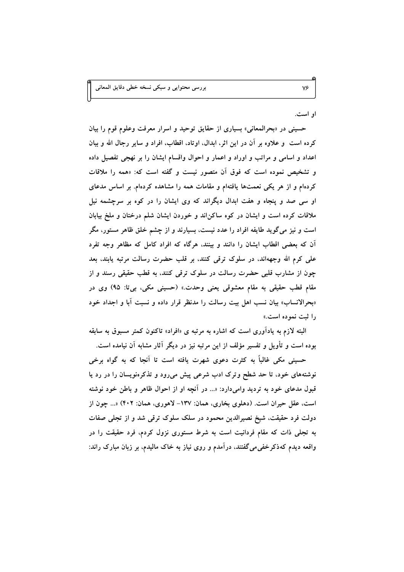بررسی محتوایی و سبکی نسخه خطی دقایق المعانی

او است.

حسینی در «بحرالمعانی» بسیاری از حقایق توحید و اسرار معرفت وعلوم قوم را بیان کرده است ً و علاوه بر آن در این اثر، ابدال، اوتاد، اقطاب، افراد و سایر رجال الله و بیان اعداد و اسامی و مراتب و اوراد و اعمار و احوال واقسام ایشان را بر نهجی تفصیل داده و تشخیص نموده است که فوق اَن متصور نیست و گفته است که: «همه را ملاقات کردهام و از هر یکی نعمتها یافتهام و مقامات همه را مشاهده کردهام. بر اساس مدعای او سی صد و پنجاه و هفت ابدال دیگراند که وی ایشان را در کوه بر سرچشمه نیل ملاقات کرده است و ایشان در کوه ساکن اند و خوردن ایشان شلم درختان و ملخ بیابان است و نیز میگوید طایفه افراد را عدد نیست، بسیارند و از چشم خلق ظاهر مستور، مگر آن که بعضی اقطاب ایشان را دانند و بینند، هرگاه که افراد کامل که مظاهر وجه تفرد علی کرم الله وجههاند، در سلوک ترقی کنند، بر قلب حضرت رسالت مرتبه یابند، بعد چون از مشارب قلبی حضرت رسالت در سلوک ترقی کنند، به قطب حقیقی رسند و از مقام قطب حقیقی به مقام معشوقی یعنی وحدت.» (حسینی مکی، بیi: ۹۵) وی در «بحرالانساب» بيان نسب اهل بيت رسالت را مدنظر قرار داده و نسبت آبا و اجداد خود را ثبت نموده است.»

البته لازم به یادآوری است که اشاره به مرتبه ی «افراد» تاکنون کمتر مسبوق به سابقه بوده است و تأویل و تفسیر مؤلف از این مرتبه نیز در دیگر آثار مشابه آن نیامده است.

حسینی مکی غالباً به کثرت دعوی شهرت یافته است تا آنجا که به گواه برخی نوشتههای خود، تا حد شطح و ترک ادب شرعی پیش میرود و تذکرهنویسان را در رد یا قبول مدعای خود به تردید وامیدارد: «... در آنچه او از احوال ظاهر و باطن خود نوشته است، عقل حیران است. (دهلوی بخاری، همان: ۱۳۷- لاهوری، همان: ۴۰۲) «... چون از دولت فرد حقیقت، شیخ نصیرالدین محمود در سلک سلوک ترقی شد و از تجلی صفات به تجلَّى ذات كه مقام فردانيت است به شرط مستورى نزول كردم، فرد حقيقت را در واقعه دیدم کهذکرخفی میگفتند، درآمدم و روی نیاز به خاک مالیدم، بر زبان مبارک راند: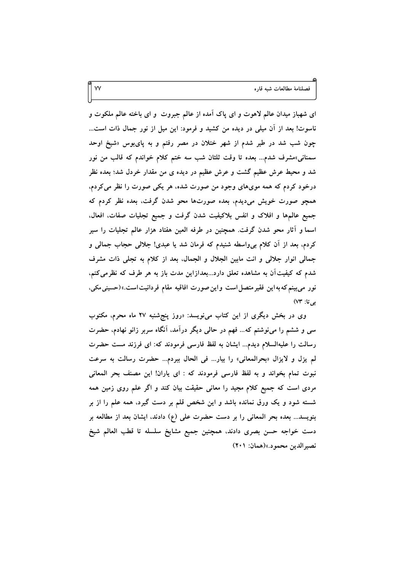فصلنامهٔ مطالعات شبه قاره

ای شهباز میدان عالم لاهوت و ای پاک آمده از عالم جبروت ًو ای باخته عالم ملکوت و ناسوت! بعد از آن میلی در دیده من کشید و فرمود: این میل از نور جمال ذات است... چون شب شد در طیر شدم از شهر ختلان در مصر رفتم و به پایبوس «شیخ اوحد سمنانی»مشرف شدم... بعده تا وقت ثلثان شب سه ختم کلام خواندم که قالب من نور شد و محیط عرش عظیم گشت و عرش عظیم در دیده ی من مقدار خردل شد؛ بعده نظر درخود کردم که همه مویهای وجود من صورت شده، هر یکی صورت را نظر میکردم. همچو صورت خویش میدیدم، بعده صورتها محو شدن گرفت، بعده نظر کردم که جميع عالمها و افلاک و انفس بلاکيفيت شدن گرفت و جميع تجليات صفات، افعال، اسما و آثار محو شدن گرفت. همچنین در طرفه العین هفتاد هزار عالم تجلیات را سیر کردم، بعد از آن کلام بیeاسطه شنیدم که فرمان شد یا عبدی! جلالی حجاب جمالی و جمالي انوار جلالي و انت مابين الجلال و الجمال، بعد از كلام به تجلي ذات مشرف شدم که کیفیت آن به مشاهده تعلق دارد...بعدازاین مدت باز به هر طرف که نظر می کنم، نور می بینم که به این فقیر متصل است واین صورت افاقیه مقام فردانیت است.» (حسینی مکی، بی تا: ۷۳)

وی در بخش دیگری از این کتاب میiویسد: «روز پنجشنبه ۲۷ ماه محرم، مکتوب سی و ششم را مینوشتم که... فهم در حالی دیگر درآمد، آنگاه سربر زانو نهادم، حضرت رسالت را علیهالسلام دیدم... ایشان به لفظ فارسی فرمودند که: ای فرزند مست حضرت لم يزل و لايزال «بحرالمعاني» را بيار... في الحال ببردم... حضرت رسالت به سرعت نبوت تمام بخواند و به لفظ فارسی فرمودند که : ای یاران! این مصنف بحر المعانی مردی است که جمیع کلام مجید را معانی حقیقت بیان کند و اگر علم روی زمین همه شسته شود و یک ورق نمانده باشد و این شخص قلم بر دست گیرد، همه علم را از بر بنويسد... بعده بحر المعاني را بر دست حضرت على (ع) دادند، ايشان بعد از مطالعه بر دست خواجه حسن بصرى دادند، همچنين جميع مشايخ سلسله تا قطب العالم شيخ نصير الدين محمود.» (همان: ٢٠١)

**YY**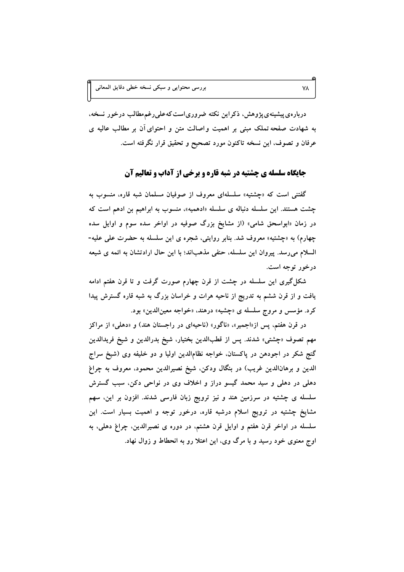دربارهی پیشینهی پژوهش، ذکراین نکته ضروریاست کهعلی رغمهطالب درخور نسخه، به شهادت صفحه تملک مبنی بر اهمیت واصالت متن و احتوای آن بر مطالب عالیه ی عرفان و تصوف، این نسخه تاکنون مورد تصحیح و تحقیق قرار نگرفته است.

## جایگاه سلسله ی چشتیه در شبه قاره و برخی از آداب و تعالیم آن

گفتنی است که «چشتیه» سلسلهای معروف از صوفیان مسلمان شبه قاره، منسوب به چشت هستند. این سلسله دنباله ی سلسله «ادهمیه»، منسوب به ابراهیم بن ادهم است که در زمان «ابواسحق شامی» (از مشایخ بزرگ صوفیه در اواخر سده سوم و اوایل سده چهارم) به «چشتیه» معروف شد. بنابر روایتی، شجره ی این سلسله به حضرت علی علیه-السلام میرسد. پیروان این سلسله، حنفی مذهباند؛ با این حال ارادتشان به ائمه ی شیعه درخور توجه است.

شکل گیری این سلسله در چشت از قرن چهارم صورت گرفت و تا قرن هفتم ادامه یافت و از قرن ششم به تدریج از ناحیه هرات و خراسان بزرگ به شبه قاره گسترش پیدا کرد. مؤسس و مروج سلسله ی «چشیه» درهند. «خواجه معینالدین» بود.

در قرن هفتم، پس از«اجمیر»، «ناگور» (ناحیهای در راجستان هند) و «دهلی» از مراکز مهم تصوف «چشتی» شدند. پس از قطبالدین بختیار، شیخ بدرالدین و شیخ فریدالدین گنج شکر در اجودهن در پاکستان، خواجه نظامالدین اولیا و دو خلیفه وی (شیخ سراج الدين و برهانالدين غريب) در بنگال ودكن، شيخ نصيرالدين محمود، معروف به چراغ دهلی در دهلی و سید محمد گیسو دراز و اخلاف وی در نواحی دکن، سبب گسترش سلسله ی چشتیه در سرزمین هند و نیز ترویج زبان فارسی شدند. افزون بر این، سهم مشایخ چشتیه در ترویج اسلام درشبه قاره، درخور توجه و اهمیت بسیار است. این سلسله در اواخر قرن هفتم و اوایل قرن هشتم، در دوره ی نصیرالدین، چراغ دهلی، به اوج معنوی خود رسید و با مرگ وی، این اعتلا رو به انحطاط و زوال نهاد.

**VV**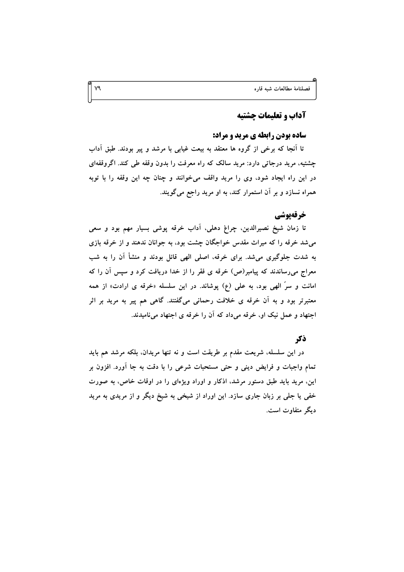### آداب و تعلیمات چشتیه

### ساده بودن رابطه ی مرید و مراد:

تا اَنجا که برخی از گروه ها معتقد به بیعت غیابی با مرشد و پیر بودند. طبق اَداب چشتیه، مرید درجاتی دارد: مرید سالک که راه معرفت را بدون وقفه طی کند. اگروقفهای در این راه ایجاد شود، وی را مرید واقف می خوانند و چنان چه این وقفه را با توبه همراه نسازد و بر آن استمرار کند، به او مرید راجع میگویند.

### خرقهيوشي

تا زمان شیخ نصیرالدین، چراغ دهلی، آداب خرقه پوشی بسیار مهم بود و سعی می شد خرقه را که میراث مقدس خواجگان چشت بود، به جوانان ندهند و از خرقه بازی به شدت جلوگیری می شد. برای خرقه، اصلی الهی قائل بودند و منشأ آن را به شب معراج میرساندند که پیامبر(ص) خرقه ی فقر را از خدا دریافت کرد و سپس آن را که امانت و سرّ الهی بود، به علی (ع) پوشاند. در این سلسله «خرقه ی ارادت» از همه معتبرتر بود و به آن خرقه ی خلافت رحمانی میگفتند. گاهی هم پیر به مرید بر اثر اجتهاد و عمل نیک او، خرقه میداد که آن را خرقه ی اجتهاد مینامیدند.

### ذک

در این سلسله، شریعت مقدم بر طریقت است و نه تنها مریدان، بلکه مرشد هم باید تمام واجبات و فرایض دینی و حتی مستحبات شرعی را با دقت به جا آورد. افزون بر این، مرید باید طبق دستور مرشد، اذکار و اوراد ویژهای را در اوقات خاص، به صورت خفی یا جلی بر زبان جاری سازد. این اوراد از شیخی به شیخ دیگر و از مریدی به مرید دیگر متفاوت است.

v٩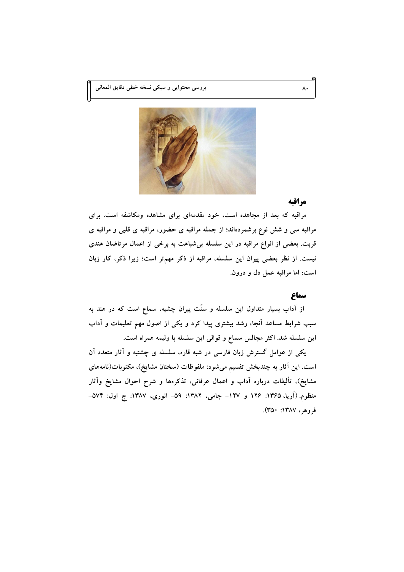بررسی محتوایی و سبکی نسخه خطی دقایق المعانی



مراقبه

مراقبه که بعد از مجاهده است، خود مقدمهای برای مشاهده ومکاشفه است. برای مراقبه سی و شش نوع برشمردهاند؛ از جمله مراقبه ی حضور، مراقبه ی قلبی و مراقبه ی قربت. بعضی از انواع مراقبه در این سلسله بی شباهت به برخی از اعمال مرتاضان هندی نیست. از نظر بعضی پیران این سلسله، مراقبه از ذکر مهمتر است؛ زیرا ذکر، کار زبان است؛ اما مراقبه عمل دل و درون.

#### سماع

از آداب بسیار متداول این سلسله و سنّت پیران چشیه، سماع است که در هند به سبب شرایط مساعد آنجا، رشد بیشتری پیدا کرد و یکی از اصول مهم تعلیمات و آداب این سلسله شد. اکثر مجالس سماع و قوالی این سلسله با ولیمه همراه است.

یکی از عوامل گسترش زبان فارسی در شبه قاره، سلسله ی چشتیه و آثار متعدد آن است. این آثار به چندبخش تقسیم میشود: ملفوظات (سخنان مشایخ)، مکتوبات(نامههای مشایخ)، تألیفات درباره آداب و اعمال عرفانی، تذکرهها و شرح احوال مشایخ وآثار منظوم. (آریا، ۱۳۶۵: ۱۲۶ و ۱۲۷– جامی، ۱۳۸۲: ۵۹– انوری، ۱۳۸۷: ج اول: ۵۷۴– فروهر، ١٣٨٧: ٣٥٠).

 $\lambda$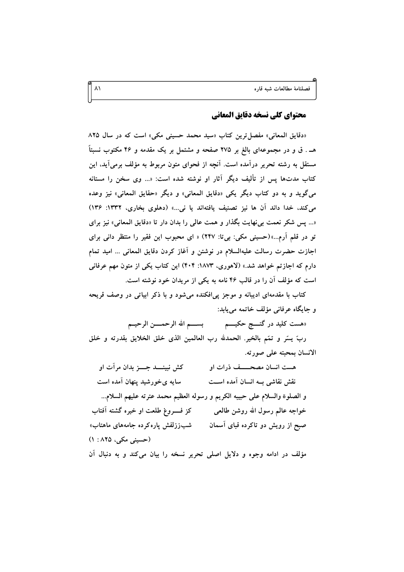### محتواي كلى نسخه دقايق المعاني

«دقايق المعاني» مفصل ترين كتاب «سيد محمد حسيني مكي» است كه در سال ٨٢٥ هــ . ق و در مجموعهای بالغ بر ۲۷۵ صفحه و مشتمل بر یک مقدمه و ۴۶ مکتوب نسبتاً مستقل به رشته تحریر درآمده است. آنچه از فحوای متون مربوط به مؤلف برمیآید، این کتاب مدتها پس از تألیف دیگر آثار او نوشته شده است: «... وی سخن را مستانه میگوید و به دو کتاب دیگر یکی «دقایق المعانی» و دیگر «حقایق المعانی» نیز وعده می کند، خدا داند آن ها نیز تصنیف یافتهاند یا نی...» (دهلوی بخاری، ۱۳۳۲: ۱۳۶) «... پس شکر نعمت بی نهایت بگذار و همت عالی را بدان دار تا «دقایق المعانی» نیز برای تو در قلم آرم...»(حسینی مکی: بیتا: ۲۴۷) « ای محبوب این فقیر را منتظر دانی برای اجازت حضرت رسالت عليهالسلام در نوشتن و آغاز كردن دقايق المعانى … اميد تمام دارم که اجازتم خواهد شد.» (لاهوری، ۱۸۷۳: ۴۰۴) این کتاب یکی از متون مهم عرفانی است که مؤلف آن را در قالب ۴۶ نامه به یکی از مریدان خود نوشته است.

کتاب با مقدمهای ادیبانه و موجز یی افکنده می شود و با ذکر ابیاتی در وصف قریحه و ڄايگاه عرفاني مؤلف خاتمه مي يابد:

«هست كليد در گنــــج حكيــــم بســــم الله الرحمــــن الرحيــم

ربِّ يسِّر و تمَّم بالخير. الحمدلله رب العالمين الذي خلق الخلايق بقدرته و خلق الانسان بمحبته على صورته.

کش نبینـــد جـــز بدان مرآت او هست انسان مصحــــف ذرات او سایه ی خورشید پنهان آمده است نقش نقاشی بــه انسان آمده اســت و الصلوة والسلام على حبيبه الكريم و رسوله العظيم محمد عترته عليهم السلام... کز فـــــروغ طلعت او خیره گشته آفتاب خواجه عالم رسول الله روشن طالعي صبح از رویش دو تاکرده قبای آسمان شبززلفش یارهکرده جامههای ماهتاب» (حسینی مکی، ۸۲۵ : ۱) مؤلف در ادامه وجوه و دلایل اصلی تحریر نسخه را بیان می کند و به دنبال آن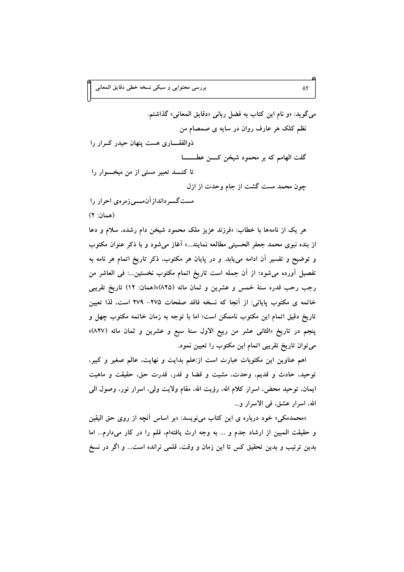بررسی محتوایی و سبکی نسخه خطی دقایق المعانی

میگوید: «و نام این کتاب به فضل ربانی «دقایق المعانی» گذاشتم. نظم کلک هر عارف روان در سایه ی صمصام من ذوالفقــــاری هست پنهان حیدر کـــرار را گفت الهامم که بر محمود شیخن کسن عطـــــا تا کنــــد تعبیر مستی از من میخــــوار را چون محمد مست گشت از جام وحدت از ازل مست گـــر دانداز آن،ــــی زمره ی احرار را (همان: ۲)

هر یک از نامهها با خطاب: «فرزند عزیز ملک محمود شیخن دام رشده، سلام و دعا از بنده نبوی محمد جعفر الحسینی مطالعه نمایند…» آغاز می شود و با ذکر عنوان مکتوب و توضیح و تفسیر آن ادامه می،یابد. و در پایان هر مکتوب، ذکر تاریخ اتمام هر نامه به تفصيل أورده مي شود؛ از أن جمله است تاريخ اتمام مكتوب نخستين...: في العاشر من رجب رحب قدره سنهٔ خمس و عشرین و ثمان مائه (۸۲۵)»(همان: ۱۲) تاریخ تقریبی خاتمه ی مکتوب پایانی: از آنجا که نسخه فاقد صفحات ۲۷۵– ۲۷۹ است، لذا تعیین تاريخ دقيق اتمام اين مكتوب ناممكن است؛ اما با توجه به زمان خاتمه مكتوب چهل و پنجم در تاريخ «الثاني عشر من ربيع الاول سنهٔ سبع و عشرين و ثمان مائه (٨٢٧)» می توان تاریخ تقریبی اتمام این مکتوب را تعیین نمود.

اهم عناوین این مکتوبات عبارت است از:علم بدایت و نهایت، عالم صغیر و کبیر، توحید، حادث و قدیم، وحدت، مشیت و قضا و قدر، قدرت حق، حقیقت و ماهیت ايمان. توحيد محضٌ، اسرار كلام الله، رؤيت الله، مقام ولايت ولي، اسرار نور، وصول الى الله، اسرار عشق، في الاسرار و...

«محمدمکی» خود درباره ی این کتاب میiویسد: «بر اساس أنچه از روی حق الیقین و حقيقت المبين از ارشاد جدم و ... به وجه ارث يافتهام، قلم را در كار مى دارم... اما بدین ترتیب و بدین تحقیق کس تا این زمان و وقت، قلمی نرانده است... و اگر در نسخ

 $\lambda$ ٢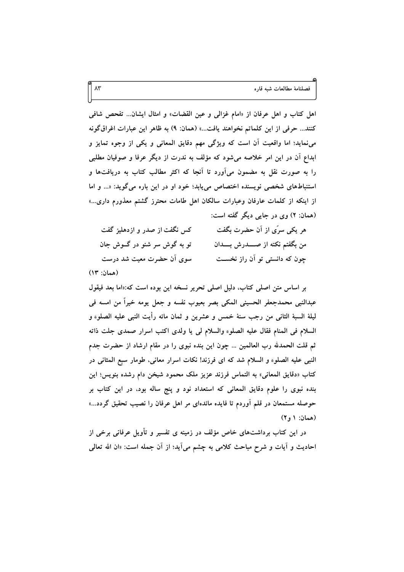اهل کتاب و اهل عرفان از «امام غزال<sub>ی</sub> و عین القضات» و امثال ایشان… تفحص شاف<sub>ی</sub> كنند... حرفي از اين كلماتم نخواهند يافت...» (همان: ٩) به ظاهر اين عبارات اغراق گونه مینماید؛ اما واقعیت اَن است که ویژگی مهم دقایق المعانی و یکی از وجوه تمایز و ابداع آن در این امر خلاصه میشود که مؤلف به ندرت از دیگر عرفا و صوفیان مطلبی را به صورت نقل به مضمون می[ورد تا اَنجا که اکثر مطالب کتاب به دریافتها و استنباطهای شخصی نویسنده اختصاص مییابد؛ خود او در این باره میگوید: «... و اما از اینکه از کلمات عارفان وعبارات سالکان اهل طامات محترز گشتم معذورم داری...» (همان: ۲) وي در جايي ديگر گفته است:

| کس نگفت از صدر و ازدهلیز گفت  | هر یکی سرٌی از اَن حضرت بگفت         |
|-------------------------------|--------------------------------------|
| تو به گوش سر شنو در گــوش جان | من بگفتم نکته از صـــــدرش بـــــدان |
| سوی اَن حضرت معیت شد درست     | چون که دانستی تو اَن راز نخســت      |
| (همان: ۱۳)                    |                                      |

بر اساس متن اصلی کتاب، دلیل اصلی تحریر نسخه این بوده است که:«اما بعد فیقول عبدالنبي محمدجعفر الحسيني المكي بصر بعيوب نفسه و جعل يومه خيراً من امسه في ليلة السبة الثاني من رجب سنة خمس و عشرين و ثمان مائه رأيت النبي عليه الصلوة و السلام في المنام فقال عليه الصلوة والسلام لي يا ولدى اكتب اسرار صمدى جلت ذاته ثم قلت الحمدلله رب العالمين … چون اين بنده نبوي را در مقام ارشاد از حضرت جدم النبي عليه الصلوة و السلام شد كه اي فرزند! نكات اسرار معاني، طومار سبع المثاني در كتاب «دقايق المعانى» به التماس فرزند عزيز ملك محمود شيخن دام رشده بنويس؛ اين بنده نبوی را علوم دقایق المعانی که استعداد نود و پنج ساله بود، در این کتاب بر حوصله مستمعان در قلم آوردم تا فایده مائدهای مر اهل عرفان را نصیب تحقیق گردد…» (همان: ۱ و۲)

در این کتاب برداشتهای خاص مؤلف در زمینه ی تفسیر و تأویل عرفانی برخی از احادیث و آیات و شرح مباحث کلامی به چشم میآید؛ از آن جمله است: «ان الله تعال<sub>ی</sub>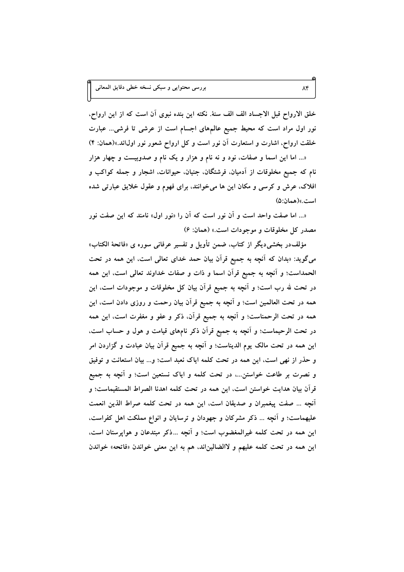خلق الارواح قبل الاجساد الف الف سنهٔ. نکته این بنده نبوی آن است که از این ارواح، نور اول مراد است که محیط جمیع عالمهای اجسام است از عرشی تا فرشی... عبارت خلقت ارواح، اشارت و استعارت آن نور است و کل ارواح شعور نور اولاند.»(همان: ۴)

«... اما این اسما و صفات، نود و نه نام و هزار و یک نام و صدوبیست و چهار هزار نام که جمیع مخلوقات از آدمیان، فرشتگان، جنیان، حیوانات، اشجار و جمله کواکب و افلاک، عرش و کرسی و مکان این ها می خوانند، برای فهوم و عقول خلایق عبارتی شده است.»(همان:۵)

«... اما صفت واحد است و آن نور است که آن را «نور اول» نامند که این صفت نور مصدر كل مخلوقات و موجودات است.» (همان: ۶)

مؤلَّفدر بِخشَّى ديگر از كتابٍ، ضمن تأويل و تفسير عرفاني سوره ي «فاتحة الكتاب» میگوید: «بدان که آنچه به جمیع قرآن بیان حمد خدای تعالی است، این همه در تحت الحمداست؛ و آنچه به جمیع قرآن اسما و ذات و صفات خداوند تعالی است، این همه در تحت لله رب است؛ و آنچه به جمیع قرآن بیان کل مخلوقات و موجودات است، این همه در تحت العالمین است؛ و آنچه به جمیع قرآن بیان رحمت و روزی دادن است، این همه در تحت الرحمناست؛ و آنچه به جمیع قرآن، ذکر و عفو و مغفرت است، این همه در تحت الرحیماست؛ و آنچه به جمیع قرآن ذکر نامهای قیامت و هول و حساب است، این همه در تحت مالک یوم الدیناست؛ و اَنچه به جمیع قراَن بیان عبادت و گزاردن امر و حذر از نهی است، این همه در تحت کلمه ایاک نعبد است؛ و… بیان استعانت و توفیق و نصرت بر طاعت خواستن…. در تحت کلمه و ایاک نستعین است؛ و آنچه به جمیع قرآن بيان هدايت خواستن است، اين همه در تحت كلمه اهدنا الصراط المستقيماست؛ و آنچه … صفت پیغمبران و صدیقان است، این همه در تحت کلمه صراط الذین انعمت علیهماست؛ و أنچه … ذکر مشرکان و جهودان و ترسایان و انواع مملکت اهل کفراست، این همه در تحت کلمه غیرالمغضوب است؛ و آنچه …ذکر مبتدعان و هواپرستان است. این همه در تحت کلمه علیهم و لاالضالیناند، هم به این معنی خواندن «فاتحه» خواندن

 $\lambda$ ۴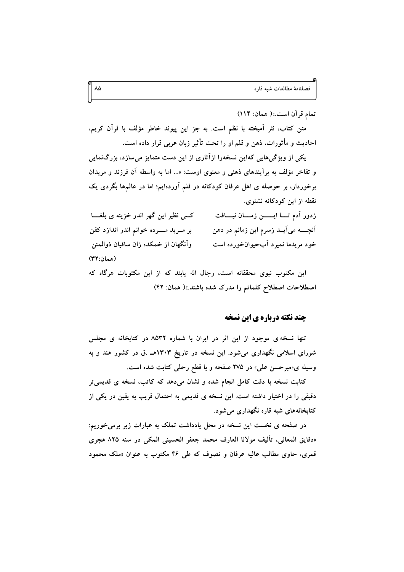تمام قرآن است.»( همان: ١١۴)

متن کتاب، نثر آمیخته با نظم است. به جز این پیوند خاطر مؤلف با قرآن کریم، احادیث و مأثورات، ذهن و قلم او را تحت تأثیر زبان عربی قرار داده است.

یکی از ویژگیهایی کهاین نسخهرا ازآثاری از این دست متمایز میسازد، بزرگنمایی و تفاخر مؤلف به برآیندهای ذهنی و معنوی اوست: «... اما به واسطه آن فرزند و مریدان برخوردار، بر حوصله ی اهل عرفان کودکانه در قلم آوردهایم؛ اما در عالمها بگردی یک نقطه از این کودکانه نشنوی.

| کسی نظیر این گهر اندر خزینه ی بلغـــا  | زدور آدم تـــا ايــــــن زمــــان نيـــافت |
|----------------------------------------|--------------------------------------------|
| بر مـريد مـــرده خوانم اندر اندازد كفن | آنچــــه میآیــد زسرم این زمانم در دهن     |
| وأنگهان از خمکده زان ساقیان ذوالممنن   | خود مریدما نمیرد آبحیوانخورده است          |
| (همان:٣٢)                              |                                            |

این مکتوب نبوی محققانه است، رجال الله پابند که از این مکتوبات هرگاه که اصطلاحات اصطلاح کلماتم را مدرک شده باشند.»( همان: ۴۲)

### **چند نکته درباره ی این نسخه**

تنها نسخه ی موجود از این اثر در ایران با شماره ۸۵۳۲ در کتابخانه ی مجلس شورای اسلامی نگهداری میشود. این نسخه در تاریخ ۱۳۰۳هـ .ق در کشور هند و به وسیله ی«میرحسن علی» در ۲۷۵ صفحه و با قطع رحلی کتابت شده است.

کتابت نسخه با دقت کامل انجام شده و نشان میدهد که کاتب، نسخه ی قدیمیتر دقیقی را در اختیار داشته است. این نسخه ی قدیمی به احتمال قریب به یقین در یکی از کتابخانههای شبه قاره نگهداری میشود.

در صفحه ی نخست این نسخه در محل یادداشت تملک به عبارات زیر برمیخوریم: «دقايق المعاني، تأليف مولانا العارف محمد جعفر الحسيني المكي در سنه ٨٢٥ هجرى قمری، حاوی مطالب عالیه عرفان و تصوف که طی ۴۶ مکتوب به عنوان «ملک محمود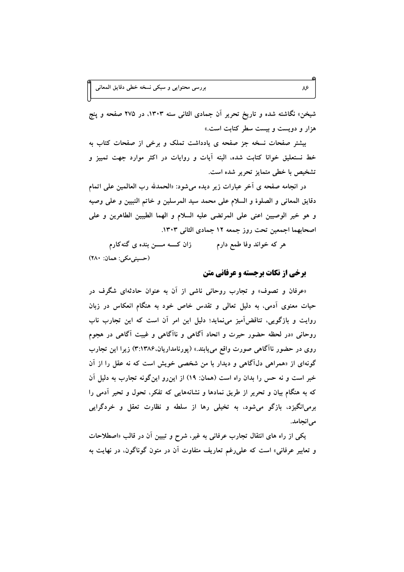بررسی محتوایی و سبکی نسخه خطی دقایق المعانی

شیخن» نگاشته شده و تاریخ تحریر آن جمادی الثانی سنه ۱۳۰۳، در ۲۷۵ صفحه و پنج هزار و دویست و بیست سطر کتابت است.»

بیشتر صفحات نسخه جز صفحه ی یادداشت تملک و برخی از صفحات کتاب به خط نستعلیق خوانا کتابت شده، البته آیات و روایات در اکثر موارد جهت تمییز و تشخیص با خطی متمایز تحریر شده است.

در انجامه صفحه ی اَخر عبارات زیر دیده میشود: «الحمدلله رب العالمین علی اتمام دقايق المعاني و الصلوة و السلام على محمد سيد المرسلين و خاتم النبيين و على وصيه و هو خير الوصيين اعني على المرتضى عليه السلام و الهما الطيبين الطاهرين و على اصحابهما اجمعين تحت روز جمعه ١٢ جمادي الثاني ١٣٠٣.

هر که خواند وفا طمع دارم زان کـــــه مـــــن بنده ی گنهکارم (حسینی مکی: همان: ۲۸۰)

## **برخی از نکات برجسته و عرفانی متن**

«عرفان و تصوف» و تجارب روحانی ناشی از آن به عنوان حادثهای شگرف در حیات معنوی آدمی، به دلیل تعالی و تقدس خاص خود به هنگام انعکاس در زبان روایت و بازگویی، تناقضآمیز مینماید؛ دلیل این امر آن است که این تجارب ناب روحانی «در لحظه حضور حیرت و اتحاد آگاهی و ناآگاهی و غیبت آگاهی در هجوم روی در حضور ناآگاهی صورت واقع می،پابند.» (پورنامداریان،۱۳۸۶:۳) زیرا این تجارب گونهای از «همراهی دل]گاهی و دیدار با من شخصی خویش است که نه عقل را از آن خبر است و نه حس را بدان راه است (همان: ١٩) از این رو این گونه تجارب به دلیل آن که به هنگام بیان و تحریر از طریق نمادها و نشانههایی که تفکر، تحول و تحیر آدمی را برمیانگیزد، بازگو میشود، به تخیلی رها از سلطه و نظارت تعقل و خردگرایی می انجامد.

یکی از راه های انتقال تجارب عرفانی به غیر، شرح و تبیین آن در قالب «اصطلاحات و تعابیر عرفانی» است که علیرغم تعاریف متفاوت آن در متون گوناگون، در نهایت به

 $\lambda$ ۶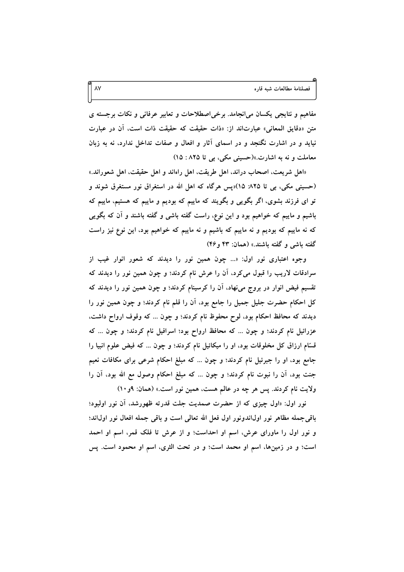مفاهیم و نتایجی یکسان می[نجامد. برخی|صطلاحات و تعابیر عرفانی و نکات برجسته ی متن «دقايق المعاني» عبارتاند از: «ذات حقيقت كه حقيقت ذات است، آن در عبارت نیاید و در اشارت نگنجد و در اسمای آثار و افعال و صفات تداخل ندارد، نه به زبان معاملت و نه به اشارت.»(حسینی مکی، بی تا ۸۲۵ : ۱۵)

«اهل شریعت، اصحاب دراند، اهل طریقت، اهل راهاند و اهل حقیقت، اهل شعوراند.» (حسینی مکی، بی تا ۸۲۵: ۱۵)«پس هرگاه که اهل الله در استغراق نور مستغرق شوند و تو ای فرزند بشوی، اگر بگویی و بگویند که ماییم که بودیم و ماییم که هستیم، ماییم که باشیم و ماییم که خواهیم بود و این نوع، راست گفته باشی و گفته باشند و آن که بگویی که نه ماییم که بودیم و نه ماییم که باشیم و نه ماییم که خواهیم بود، این نوع نیز راست گفته باشی و گفته باشند.» (همان: ۴۳ و۴۶)

وجوه اعتباری نور اول: «... چون همین نور را دیدند که شعور انوار غیب از سرادقات لاریب را قبول میکرد، آن را عرش نام کردند؛ و چون همین نور را دیدند که تقسیم فیض انوار در بروج می نهاد، اَن را کرسینام کردند؛ و چون همین نور را دیدند که کل احکام حضرت جلیل جمیل را جامع بود، آن را قلم نام کردند؛ و چون همین نور را دیدند که محافظ احکام بود، لوح محفوظ نام کردند؛ و چون … که وقوف ارواح داشت، عزرائیل نام کردند؛ و چون ... که محافظ ارواح بود؛ اسرافیل نام کردند؛ و چون ... که قسّام ارزاق کل مخلوقات بود، او را میکائیل نام کردند؛ و چون ... که فیض علوم انبیا را جامع بود، او را جبرئیل نام کردند؛ و چون ... که مبلغ احکام شرعی برای مکافات نعیم جنت بود، أن را نبوت نام كردند؛ و چون … كه مبلغ احكام وصول مع الله بود، أن را ولايت نام كردند. پس هر چه در عالم هست، همين نور است.» (همان: ٩و١٠)

نور اول: «اول چیزی که از حضرت صمدیت جلت قدرته ظهورشد، آن نور اولبود؛ باقی جمله مظاهر نور اول!ندونور اول فعل الله تعالمی است و باقبی جمله افعال نور اول!ند؛ و نور اول را ماورای عرش، اسم او احداست؛ و از عرش تا فلک قمر، اسم او احمد است؛ و در زمینها، اسم او محمد است؛ و در تحت الثری، اسم او محمود است. پس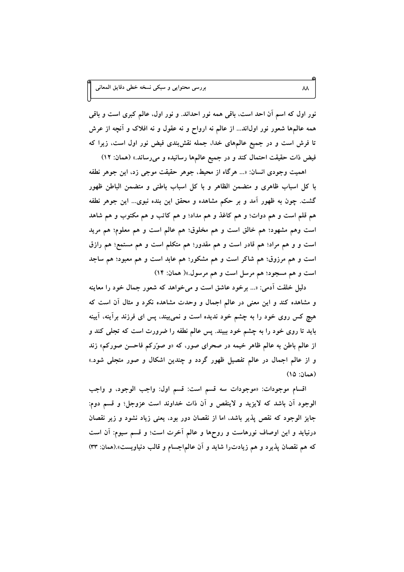بررسی محتوایی و سبکی نسخه خطی دقایق المعانی

نور اول که اسم آن احد است، باقی همه نور احداند. و نور اول، عالم کبری است و باقی همه عالمها شعور نور اول\ند... از عالم نه ارواح و نه عقول و نه افلاک و آنچه از عرش تا فرش است و در جمیع عالمهای خدا، جمله نقش بندی فیض نور اول است، زیرا که فیض ذات حقیقت احتمال کند و در جمیع عالمها رسانیده و می رساند.» (همان: ١٢)

اهمیت وجودی انسان: «... هرگاه از محیط، جوهر حقیقت موجی زد، این جوهر نطفه با كل اسباب ظاهرى و متضمن الظاهر و با كل اسباب باطنى و متضمن الباطن ظهور گشت. چون به ظهور اَمد و بر حکم مشاهده و محقق این بنده نبوی... این جوهر نطفه هم قلم است و هم دوات؛ و هم کاغذ و هم مداد؛ و هم کاتب و هم مکتوب و هم شاهد است وهم مشهود؛ هم خالق است و هم مخلوق؛ هم عالم است و هم معلوم؛ هم مريد است و و هم مراد؛ هم قادر است و هم مقدور؛ هم متکلم است و هم مستمع؛ هم رازق است و هم مرزوق؛ هم شاکر است و هم مشکور؛ هم عابد است و هم معبود؛ هم ساجد است و هم مسجود؛ هم مرسل است و هم مرسول.»( همان: ١۴)

دلیل خلقت آدمی: «... برخود عاشق است و می خواهد که شعور جمال خود را معاینه و مشاهده کند و این معنی در عالم اجمال و وحدت مشاهده نکرد و مثال آن است که هیچ کس روی خود را به چشم خود ندیده است و نمی بیند، پس ای فرزند برآینه، آیینه باید تا روی خود را به چشم خود ببیند. پس عالم نطفه را ضرورت است که تجلی کند و از عالم باطن به عالم ظاهر خیمه در صحرای صور، که «و صوّرکم فاحسن صورکم» زند و از عالم اجمال در عالم تفصیل ظهور گردد و چندین اشکال و صور متجل<sub>ی</sub> شود.» (همان: ١٥)

اقسام موجودات: «موجودات سه قسم است: قسم اول: واجب الوجود، و واجب الوجود آن باشد که لایزید و لاینقص و آن ذات خداوند است عزوجل؛ و قسم دوم: جایز الوجود که نقص پذیر باشد، اما از نقصان دور بود، یعنی زیاد نشود و زیر نقصان درنیاید و این اوصاف نورهاست و روحها و عالم آخرت است؛ و قسم سیوم: آن است که هم نقصان پذیرد و هم زیادت٫ا شاید و اَن عالم۱جسام و قالب دنیاویست».(همان: ۳۳)

 $\lambda\lambda$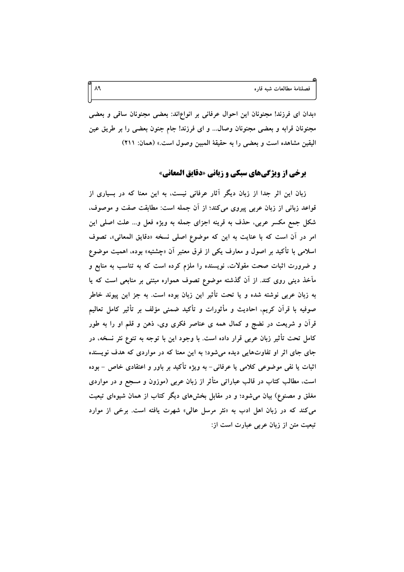«بدان ای فرزند! مجنونان این احوال عرفانی بر انواعاند: بعضی مجنونان ساقی و بعضی مجنونان قرابه و بعضی مجنونان وصال… و ای فرزند! جام جنون بعضی را بر طریق عین اليقين مشاهده است و بعضى را به حقيقة المبين وصول است.» (همان: ٢١١)

## برخي از ويژگىهاى سبكى و زباني «دقايق المعاني»

زبان این اثر جدا از زبان دیگر آثار عرفانی نیست، به این معنا که در بسیاری از قواعد زبانی از زبان عربی پیروی میکند؛ از آن جمله است: مطابقت صفت و موصوف. شکل جمع مکسر عربی، حذف به قرینه اجزای جمله به ویژه فعل و… علت اصلی این امر در آن است که با عنایت به این که موضوع اصلی نسخه «دقایق المعانی»، تصوف اسلامی با تأکید بر اصول و معارف یکی از فرق معتبر آن «چشتیه» بوده، اهمیت موضوع و ضرورت اثبات صحت مقولات، نویسنده را ملزم کرده است که به تناسب به منابع و مآخذ دینی روی کند. از آن گذشته موضوع تصوف همواره مبتنی بر منابعی است که یا به زبان عربی نوشته شده و یا تحت تأثیر این زبان بوده است. به جز این پیوند خاطر صوفیه با قرآن کریم، احادیث و مأثورات و تأکید ضمنی مؤلف بر تأثیر کامل تعالیم قرآن و شریعت در نضج و کمال همه ی عناصر فکری وی، ذهن و قلم او را به طور کامل تحت تأثیر زبان عربی قرار داده است. با وجود این با توجه به تنوع نثر نسخه، در جای جای اثر او تفاوتهایی دیده میشود؛ به این معنا که در مواردی که هدف نویسنده اثبات یا نفی موضوعی کلامی یا عرفانی- به ویژه تأکید بر باور و اعتقادی خاص – بوده است، مطالب کتاب در قالب عباراتی متأثر از زبان عربی (موزون و مسجع و در مواردی مغلق و مصنوع) بیان میشود؛ و در مقابل بخشهای دیگر کتاب از همان شیوهای تبعیت می کند که در زبان اهل ادب به «نثر مرسل عالی» شهرت یافته است. برخی از موارد تبعیت متن از زبان عربی عبارت است از: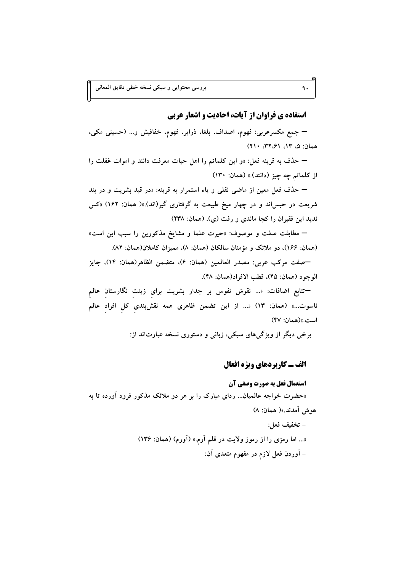**استفاده ی فراوان از آیات، احادیت و اشعار عربی** 

– جمع مكسرعربي: فهوم، اصداف، بلغا، ذراير، فهوم، خفافيش و... (حسيني مكي، همان: ۵، ۱۳، ۶۱، ۳۲،۶۱،

– حذف به قرينه فعل: «و اين كلماتم را اهل حيات معرفت دانند و اموات غفلت را از کلماتم چه چیز (دانند).» (همان: ١٣٠)

– حذف فعل معین از ماضی نقل<sub>ی</sub> و یاء استمرار به قرینه: «در قید بشریت و در بند شریعت در حبساند و در چهار میخ طبیعت به گرفتاری گیر(اند).»( همان: ۱۶۲) «کس ندید این فقیران را کجا ماندی و رفت (ی). (همان: ۲۳۸)

– مطابقت صفت و موصوف: «حيرت علما و مشايخ مذكورين را سبب اين است» (همان: ۱۶۶)، دو ملائک و مؤمنان سالکان (همان: ۸)، ممیزان کاملان(همان: ۸۲).

–صفت مركب عربي: مصدر العالمين (همان: ۶)، متضمن الظاهر(همان: ١۴)، جايز الوجود (همان: ۴۵)، قطب الأفراد(همان: ۴۸).

—تتابع اضافات: «... نقوش نفوس بر جدار بشریت برای زینت نگارستان عالم ناسوت...» (همان: ١٣) «... از اين تضمن ظاهرى همه نقشبندى كل افراد عالم است.»(همان: ۴۷)

برخي ديگر از ويژگي هاي سبکي، زباني و دستوري نسخه عبارتاند از:

## الف ـ کاربردهای ویژه افعال

استعمال فعل به صورت وصفي آن «حضرت خواجه عالمیان... ردای مبارک را بر هر دو ملائک مذکور فرود آورده تا به هوش آمدند.»( همان: ۸) - تخفيف فعل: «... اما رمزی را از رموز ولایت در قلم آرم.» (آورم) (همان: ۱۳۶) – آوردن فعل لازم در مفهوم متعدی آن:

 $\mathcal{A}$ .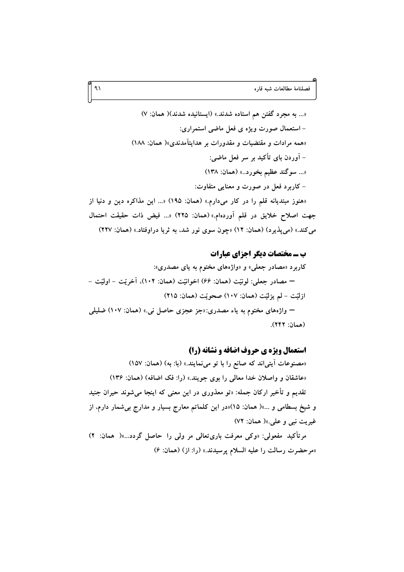فصلنامهٔ مطالعات شبه قاره

«... به مجرد گفتن هم استاده شدند.» (ایستانیده شدند)( همان: ۷) - استعمال صورت ویژه ی فعل ماضی استمراری: «همه مرادات و مقتضیات و مقدورات بر هدایتآمدندی»( همان: ۱۸۸) – آوردن بای تأکید بر سر فعل ماضی: «... سوگند عظیم بخورد..» (همان: ۱۳۸) – کاربرد فعل در صورت و معنایی متفاوت: «هنوز مبتدیانه قلم را در کار میدارم.» (همان: ۱۹۵) «... این مذاکره دین و دنیا از جهت اصلاح خلايق در قلم آوردهام.» (همان: ٢٢٥) «... فيض ذات حقيقت احتمال می کند.» (می پذیرد) (همان: ١٢) «چون سوی نور شد، به ثریا دراوفتاد.» (همان: ٢٢٧)

### **ب ـ مختصات دیگر احزای عیارات**

کاربرد «مصادر جعلی» و «واژههای مختوم به یای مصدری»: – مصادر جعلي: لونيّت (همان: 6۶) اخوانيّت (همان: ۱۰۲)، آخريّت – اوليّت – ازليّت - لم يزليّت (همان: ١٠٧) صحويّت (همان: ٢١٥) – واژههای مختوم به یاء مصدری:«جز عجزی حاصل نبی.» (همان: ۱۰۷) ضلیل<sub>ی</sub> (همان: ٢٤٢).

**استعمال ویژه ی حروف اضافه و نشانه (را)** «مصنوعات آيتي اند كه صانع را با تو مي نمايند.» (با: به) (همان: ١٥٧) «عاشقان و واصلان خدا معالمي را بوي جويند.» (را: فک اضافه) (همان: ١٣۶) تقدیم و تأخیر ارکان جمله: «تو معذوری در این معنی که اینجا می شوند حیران جنید و شیخ بسطامی و …»( همان: ۱۵)«در این کلماتم معارج بسیار و مدارج بی شمار دارم، از غيريت نبي و علي.»( همان: ٧٢)

مرتأكيد مفعولي: «وكي معرفت باريتعالي مر ولي را حاصل گردد...»( همان: ٢) «مرحضرت رسالت را عليه السلام يرسيدند.» (را: از) (همان: ۶)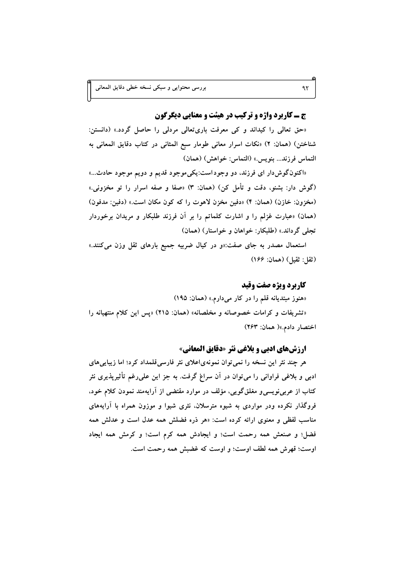### ج ـ کاربرد واژه و ترکیب در هیئت و معنایی دیگرگون

«حق تعالی را کیداند و کی معرفت باریتعالی مردلی را حاصل گردد.» (دانستن: شناختن) (همان: ٢) «نكات اسرار معانى طومار سبع المثانى در كتاب دقايق المعانى به التماس فرزند... بنويس.» (التماس: خواهش) (همان)

«اکنونگوشدار ای فرزند، دو وجوداست:یکیموجود قدیم و دویم موجود حادث...» (گوش دار: بشنو، دقت و تأمل کن) (همان: ٣) «صفا و صفه اسرار را تو مخزوني.» (مخزون: خازن) (همان: ۴) «دفين مخزن لاهوت را كه كون مكان است.» (دفين: مدفون) (همان) «عبارت غزلم را و اشارت کلماتم را بر اَن فرزند طلبکار و مریدان برخوردار تجلي گرداند.» (طلبکار: خواهان و خواستار) (همان)

استعمال مصدر به جای صفت:«و در کیال ضربیه جمیع بارهای ثقل وزن میکنند.» (ثقل: ثقيل) (همان: ١۶۶)

### كاربرد ويژه صفت وقيد

«هنوز مبتدیانه قلم را در کار میدارم.» (همان: ۱۹۵) «تشریفات و کرامات خصوصانه و مخلصانه» (همان: ٢١٥) «پس این کلام منتهیانه را اختصار دادم.»( همان: ۲۶۳)

### ارزشهای ادبی و بلاغی نثر «دقایق المعانی»

هر چند نثر این نسخه را نمی توان نمونهیاعلای نثر فارسیقلمداد کرد؛ اما زیباییهای ادبی و بلاغی فراوانی را میïتوان در آن سراغ گرفت. به جز این علمیرغم تأثیرپذیری نثر کتاب از عربینویسی و مغلقگویی، مؤلف در موارد مقتضی از آرایهمند نمودن کلام خود. فروگذار نکرده ودر مواردی به شیوه مترسلان، نثری شیوا و موزون همراه با آرایههای مناسب لفظی و معنوی ارائه کرده است: «هر ذره فضلش همه عدل است و عدلش همه فضل؛ و صنعش همه رحمت است؛ و ایجادش همه کرم است؛ و کرمش همه ایجاد اوست؛ قهرش همه لطف اوست؛ و اوست که غضبش همه رحمت است.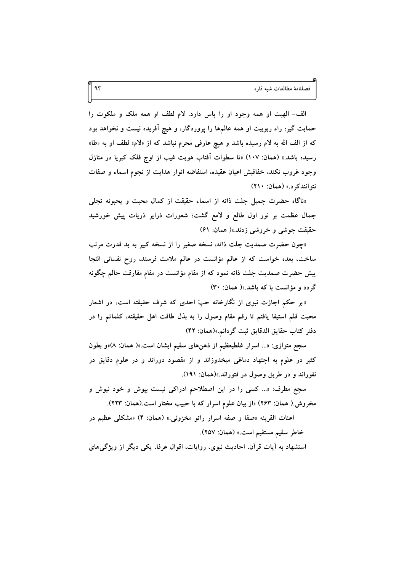الف- الهيت او همه وجود او را پاس دارد. لام لطف او همه ملک و ملکوت را حمایت گیر؛ راء ربوبیت او همه عالمها را پروردگار، و هیچ آفریده نیست و نخواهد بود که از الف الله به لام رسیده باشد و هیچ عارفی محرم نباشد که از «لام» لطف او به «طا» رسیده باشد.» (همان: ۱۰۷) «تا سطوات آفتاب هویت غیب از اوج فلک کبریا در منازل وجود غروب نکند، خفافیش اعیان عقیده، استفاضه انوار هدایت از نجوم اسماء و صفات نتوانندکرد.» (همان: ۲۱۰)

«ناگاه حضرت جمیل جلت ذاته از اسماء حقیقت از کمال محبت و یحبونه تجلی جمال عظمت بر نور اول طالع و لامع گشت؛ شعورات ذرایر ذریات پیش خورشید حقيقت جوشي و خروشي زدند.»( همان: ۶۱)

«چون حضرت صمدیت جلت ذاته، نسخه صغیر را از نسخه کبیر به ید قدرت مرتب ساخت، بعده خواست که از عالم مؤانست در عالم ملامت فرستد، روح نفسانی التجا پیش حضرت صمدیت جلت ذاته نمود که از مقام مؤانست در مقام مفارقت حالم چگونه گردد و مؤانست با که باشد.»( همان: ۳۰)

«بر حکم اجازت نبوی از نگارخانه حبّ احدی که شرف حقیقته است، در اشعار محبت قلم استيفا يافتم تا رقم مقام وصول را به بذل طاقت اهل حقيقته، كلماتم را در دفتر كتاب حقايق الدقايق ثبت كردانم.»(همان: ۴۲)

سجع متوازی: «... اسرار غلطیعظیم از ذهنهای سقیم ایشان است.»( همان: ۸)«و بطون کثیر در علوم به اجتهاد دماغی میخدوزاند و از مقصود دوراند و در علوم دقایق در نفوراند و در طریق وصول در فتوراند.»(همان: ۱۹۱).

سجع مطرف: «... کسی را در این اصطلاحم ادراکی نیست بپوش و خود نیوش و مخروش.( همان: ۲۶۳) «از بیان علوم اسرار که با حبیب مختار است.(همان: ۲۲۳).

اعنات القرينه «صفا و صفه اسرار راتو مخزوني.» (همان: ۴) «مشكلي عظيم در خاطر سقيم مستقيم است.» (همان: ٢٥٧).

استشهاد به آیات قرآن، احادیث نبوی، روایات، اقوال عرفا، یکی دیگر از ویژگی های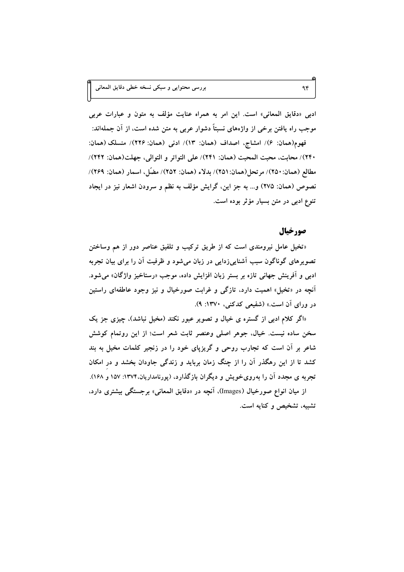ادبی «دقایق المعانی» است. این امر به همراه عنایت مؤلف به متون و عبارات عربی موجب راه یافتن برخی از واژههای نسبتاً دشوار عربی به متن شده است، از آن جملهاند:

فهوم(همان: ۶)/ امشاج، اصداف (همان: ۱۳)/ ادنی (همان: ۲۲۶)/ منسلک (همان: ٢۴٠)/ محابت، محبت المحبت (همان: ٢۴١)/ على التواتر و التوالي، جهلت(همان: ٢۴٢)/ مطالع (همان: ٢٥٠)/ مرتحل(همان: ٢٥١)/ بدلاء (همان: ٢٥٢)/ مضَّل، اسمار (همان: ٢۶٩)/ نصوص (همان: ٢٧۵) و… به جز این، گرایش مؤلف به نظم و سرودن اشعار نیز در ایجاد تنوع ادبی در متن بسیار مؤثر بوده است.

### صورخيال

«تخیل عامل نیرومندی است که از طریق ترکیب و تلفیق عناصر دور از هم وساختن تصویرهای گوناگون سبب اَشناییزدایی در زبان میشود و ظرفیت اَن را برای بیان تجربه ادبی و آفرینش جهانی تازه بر بستر زبان افزایش داده، موجب «رستاخیز واژگان» می شود. آنچه در «تخیل» اهمیت دارد، تازگی و غرابت صورخیال و نیز وجود عاطفهای راستین در ورای آن است.» (شفیعی کدکنی، ۱۳۷۰: ۹).

«اگر کلام ادبی از گستره ی خیال و تصویر عبور نکند (مخیل نباشد)، چیزی جز یک سخن ساده نیست. خیال، جوهر اصلی وعنصر ثابت شعر است؛ از این روتمام کوشش شاعر بر آن است که تجارب روحی و گریزپای خود را در زنجیر کلمات مخیل به بند کشد تا از این رهگذر آن را از چنگ زمان برباید و زندگی جاودان بخشد و در امکان تجربه ی مجدد آن را بهرویخویش و دیگران بازگذارد، (پورنامداریان،۱۳۷۴: ۱۵۷ و ۱۶۸). از میان انواع صورخیال (Images)، آنچه در «دقایق المعانی» برجستگی بیشتری دارد. تشبیه، تشخیص و کنایه است.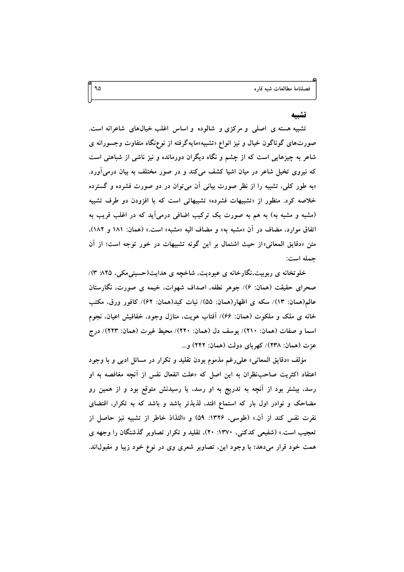#### تشىيە

تشبیه هسته ی اصلی و مرکزی و شالوده و اساس اغلب خیالهای شاعرانه است. صورتهای گوناگون خیال و نیز انواع «تشبیه»مایهگرفته از نوعٖنگاه متفاوت وجسورانه ی شاعر به چیزهایی است که از چشم و نگاه دیگران دورمانده و نیز ناشی از شباهتی است که نیروی تخیل شاعر در میان اشیا کشف میکند و در صور مختلف به بیان درمیآورد. «به طور کلّی، تشبیه را از نظر صورت بیانی آن می توان در دو صورت فشرده و گسترده خلاصه کرد. منظور از «تشبیهات فشرده» تشبیهاتی است که با افزودن دو طرف تشبیه (مشبه و مشبه به) به هم به صورت یک ترکیب اضافی درمیآید که در اغلب قریب به اتفاق موارد، مضاف در آن «مشبه به» و مضاف اليه «مشبه» است.» (همان: ١٨١ و ١٨٢)، متن «دقایق المعانی»از حیث اشتمال بر این گونه تشبیهات در خور توجه است؛ از اَن جمله است:

خلوتخانه ي رېوييت،نگارخانه ي عبوديت، شاخچه ي هدايت(حسينې مکې، ۸۲۵ ۳)/ صحرای حقیقت (همان: ۶)/ جوهر نطفه، اصداف شهوات، خیمه ی صورت، نگارستان عالم(همان: ١٣)/ سكه ي اظهار(همان: ۵۵)/ نبات كبد(همان: ۶۲)/ كافور ورق، مكتب خانه ي ملک و ملکوت (همان: ۶۶)/ اَفتاب هويت، منازل وجود، خفافيش اعيان، نجوم اسما و صفات (همان: ٢١٠)/ يوسف دل (همان: ٢٢٠)/ محيط غيرت (همان: ٢٢٣)/ درج عزت (همان: ٢٣٨)/ كهرباي دولت (همان: ٢۴٢) و...

مؤلف «دقايق المعاني» على رغم مذموم بودن تقليد و تكرار در مسائل ادبي و با وجود اعتقاد اکثریت صاحبنظران به این اصل که «علت انفعال نفس از آنچه مغافصه به او رسد، بیشتر بود از آنچه به تدریج به او رسد، یا رسیدنش متوقع بود و از همین رو مضاحک و نوادر اول بار که استماع افتد. لذیذتر باشد و باشد که به تکرار، اقتضای نفرت نفس كند از آن.» (طوسي، ١٣٢۶: ٥٩) و «التذاذ خاطر از تشبيه نيز حاصل از تعجیب است.» (شفیعی کدکنی، ۱۳۷۰: ۲۰)، تقلید و تکرار تصاویر گذشتگان را وجهه ی همت خود قرار میدهد؛ با وجود این، تصاویر شعری وی در نوع خود زیبا و مقبول\ند.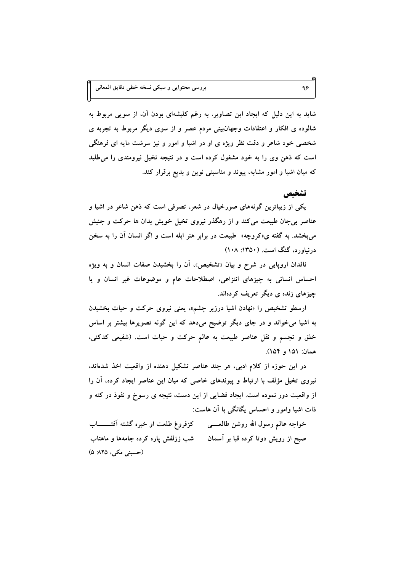شاید به این دلیل که ایجاد این تصاویر، به رغم کلیشهای بودن آن، از سویی مربوط به شالوده ی افکار و اعتقادات وجهانبینی مردم عصر و از سوی دیگر مربوط به تجربه ی شخصی خود شاعر و دقت نظر ویژه ی او در اشیا و امور و نیز سرشت مایه ای فرهنگی است که ذهن وی را به خود مشغول کرده است و در نتیجه تخیل نیرومندی را می طلبد که میان اشیا و امور مشابه، پیوند و مناسبتی نوین و بدیع برقرار کند.

### تشخيص

یکی از زیباترین گونههای صورخیال در شعر، تصرفی است که ذهن شاعر در اشیا و عناصر برتجان طبیعت میکند و از رهگذر نیروی تخیل خویش بدان ها حرکت و جنبش می بخشد. به گفته ی«کروچه» طبیعت در برابر هنر ابله است و اگر انسان آن را به سخن درنباورد، گنگ است. (۱۳۵۰: ۱۰۸)

ناقدان اروپایی در شرح و بیان «تشخیص»، اَن را بخشیدن صفات انسان و به ویژه احساس انسانی به چیزهای انتزاعی، اصطلاحات عام و موضوعات غیر انسان و یا چیزهای زنده ی دیگر تعریف کردهاند.

ارسطو تشخیص را «نهادن اشیا درزیر چشم»، یعنی نیروی حرکت و حیات بخشیدن به اشیا میخواند و در جای دیگر توضیح میدهد که این گونه تصویرها بیشتر بر اساس خلق و تجسم و نقل عناصر طبیعت به عالم حرکت و حیات است. (شفیعی کدکنی، همان: ۱۵۱ و ۱۵۴).

در این حوزه از کلام ادبی، هر چند عناصر تشکیل دهنده از واقعیت اخذ شدهاند، نیروی تخیل مؤلف با ارتباط و پیوندهای خاصی که میان این عناصر ایجاد کرده، آن را از واقعیت دور نموده است. ایجاد فضایی از این دست، نتیجه ی رسوخ و نفوذ در کنه و ذات اشیا وامور و احساس یگانگی با آن هاست:

خواجه عالم رسول الله روشن طالعــــي كزفروغ طلعت او خيره گشته آفتــــــــاب صبح از رویش دوتا کرده قبا بر آسمان مسلس ززلفش پاره کرده جامهها و ماهتاب (حسینی مکی، ۸۲۵: ۵)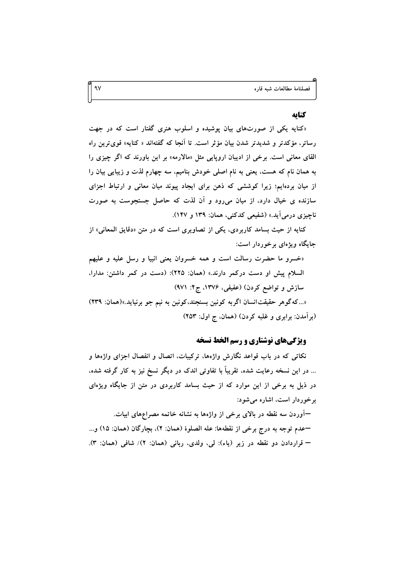#### كناته

«کنایه یکی از صورتهای بیان پوشیده و اسلوب هنری گفتار است که در جهت رساتر، مؤکدتر و شدیدتر شدن بیان مؤثر است. تا آنجا که گفتهاند « کنایه» قویترین راه القای معانی است. برخی از ادیبان اروپایی مثل «مالارمه» بر این باورند که اگر چیزی را به همان نام که هست، یعنی به نام اصلی خودش بنامیم، سه چهارم لذت و زیبایی بیان را از میان بردهایم؛ زیرا کوششی که ذهن برای ایجاد پیوند میان معانی و ارتباط اجزای سازنده ی خیال دارد، از میان میرود و آن لذت که حاصل جستجوست به صورت ناچیزی درمی آید.» (شفیعی کدکنی، همان: ۱۳۹ و ۱۴۷).

کنایه از حیث بسامد کاربردی، یکی از تصاویری است که در متن «دقایق المعانی» از جایگاه ویژهای برخوردار است:

«خسرو ما حضرت رسالت است و همه خسروان يعني انبيا و رسل عليه و عليهم السلام پیش او دست درکمر دارند.» (همان: ۲۲۵): (دست در کمر داشتن: مدارا، سازش و تواضع کردن) (عفیفی، ۱۳۷۶، ج۲: ۹۷۱)

«...که گوهر حقیقت انسان اگربه کونین بسنجند،کونین به نیم جو برنیاید.»(همان: ۲۳۹) (برآمدن: برابري و غلبه كردن) (همان، ج اول: ٢٥٣)

### ویژگیهای نوشتاری و رسم الخط نسخه

نکاتی که در باب قواعد نگارش واژهها، ترکیبات، اتصال و انفصال اجزای واژهها و ... در این نسخه رعایت شده، تقریباً با تفاوتی اندک در دیگر نسخ نیز به کار گرفته شده، در ذیل به برخی از این موارد که از حیث بسامد کاربردی در متن از جایگاه ویژهای برخوردار است، اشاره می شود:

–آوردن سه نقطه در بالای برخی از واژهها به نشانه خاتمه مصراعهای ابیات. –عدم توجه به درج برخي از نقطهها: عله الصلوة (همان: ٢)، بچارگان (همان: ١٥) و... – قراردادن دو نقطه در زير (ياء): لي، ولدى، رباني (همان: ٢)/ شافي (همان: ٣).

 $9V$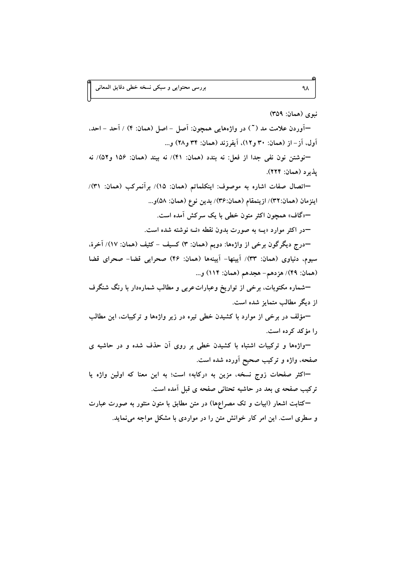نبوی (همان: ۳۵۹)

۹λ

–آوردن علامت مد ( ~) در واژههایی همچون: آصل – اصل (همان: ۴) / آحد – احد. آول، آز–از (همان: ٣٠ و١٢)، آيفرزند (همان: ٣۴ و٢٨) و...

—نوشتن نون نفي جدا از فعل: نه بندد (همان: ۴۱)/ نه بيند (همان: ۱۵۶ و٥٢)/ نه يذيرد (همان: ٢٢۴).

–اتصال صفات اشاره به موصوف: اینکلماتم (همان: ١٥)/ برآنمرکب (همان: ٣١)/ اينزمان (همان:٣٢)/ ازينمقام (همان:٣۶)/ بدين نوع (همان: ٥٨)و...

–«گاف» همچون اکثر متون خطی با یک سرکش آمده است.

-در اکثر موارد «پ) به صورت بدون نقطه «ئ) نوشته شده است.

–درج دیگرگون برخی از واژهها: دویم (همان: ۳) کسیف – کثیف (همان: ۱۷)/ آخرهٔ، سیوم، دنیاوی (همان: ۳۳)/ آیینها– آیینهها (همان: ۴۶) صحرایی قضا– صحرای قضا (همان: ۴۹)/ هزدهم- هجدهم (همان: ۱۱۴) و...

–شماره مکتوبات، برخی از تواریخ وعبارات عربی و مطالب شمارهدار با رنگ شنگرف از دیگر مطالب متمایز شده است.

–مؤلف در برخی از موارد با کشیدن خطی تیره در زیر واژهها و ترکیبات، این مطالب را مؤكد كرده است.

–واژهها و ترکیبات اشتباه با کشیدن خطی بر روی آن حذف شده و در حاشیه ی صفحه، واژه و ترکیب صحیح آورده شده است.

–اکثر صفحات زوج نسخه، مزین به «رکابه» است؛ به این معنا که اولین واژه یا ترکیب صفحه ی بعد در حاشیه تحتانی صفحه ی قبل آمده است.

–کتابت اشعار (ابیات و تک مصراعها) در متن مطابق با متون منثور به صورت عبارت و سطری است. این امر کار خوانش متن را در مواردی با مشکل مواجه می نماید.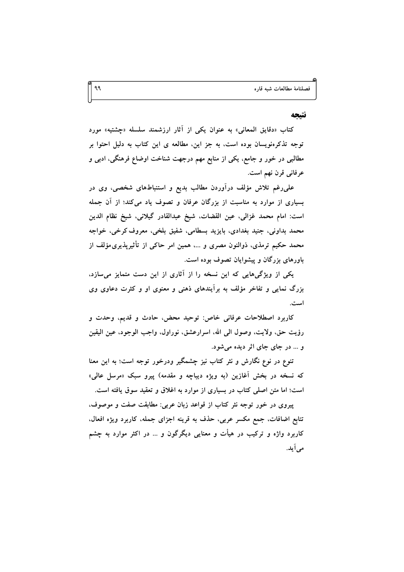#### نتىحه

كتاب «دقايق المعانى» به عنوان يكي از آثار ارزشمند سلسله «چشتيه» مورد توجه تذکرهنویسان بوده است، به جز این، مطالعه ی این کتاب به دلیل احتوا بر مطالبی در خور و جامع، یکی از منابع مهم درجهت شناخت اوضاع فرهنگی، ادبی و عرفاني قرن نهم است.

على رغم تلاش مؤلف درآوردن مطالب بديع و استنباطهاى شخصى، وى در بسیاری از موارد به مناسبت از بزرگان عرفان و تصوف یاد میکند؛ از آن جمله است: امام محمد غزالي، عين القضات، شيخ عبدالقادر گيلاني، شيخ نظام الدين محمد بداونی، جنید بغدادی، بایزید بسطامی، شفیق بلخی، معروف کرخی، خواجه محمد حکیم ترمذی، ذوالنون مصری و …، همین امر حاکمی از تأثیرپذیری مؤلف از باورهای بزرگان و پیشوایان تصوف بوده است.

یکی از ویژگیهایی که این نسخه را از آثاری از این دست متمایز میسازد، بزرگ نمایی و تفاخر مؤلف به برآیندهای ذهنی و معنوی او و کثرت دعاوی وی است.

كاربرد اصطلاحات عرفاني خاص: توحيد محض، حادث و قديم، وحدت و رؤيت حقٍّ، ولايت، وصول الى الله، اسرارعشق، نوراول، واجب الوجود، عين اليقين و ... در جای جای اثر دیده می شود.

تنوع در نوع نگارش و نثر کتاب نیز چشمگیر ودرخور توجه است؛ به این معنا که نسخه در بخش آغازین (به ویژه دیباچه و مقدمه) پیرو سبک «مرسل عالمی» است؛ اما متن اصلی کتاب در بسیاری از موارد به اغلاق و تعقید سوق یافته است.

پیروی در خور توجه نثر کتاب از قواعد زبان عربی: مطابقت صفت و موصوف، تتابع اضافات، جمع مکسر عربی، حذف به قرینه اجزای جمله، کاربرد ویژه افعال. کاربرد واژه و ترکیب در هیأت و معنایی دیگرگون و … در اکثر موارد به چشم می اَید.